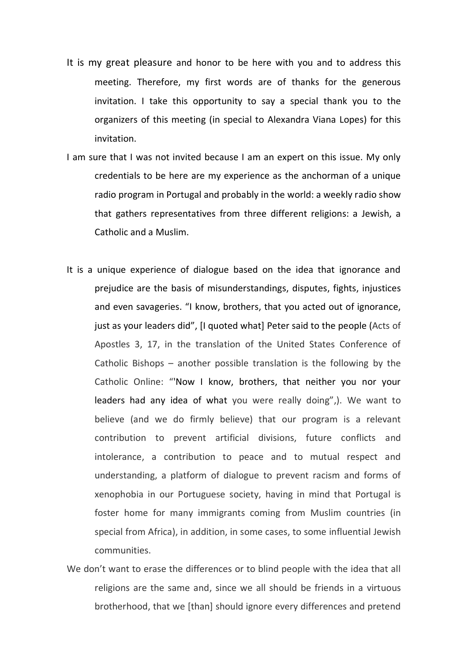- It is my great pleasure and honor to be here with you and to address this meeting. Therefore, my first words are of thanks for the generous invitation. I take this opportunity to say a special thank you to the organizers of this meeting (in special to Alexandra Viana Lopes) for this invitation.
- I am sure that I was not invited because I am an expert on this issue. My only credentials to be here are my experience as the anchorman of a unique radio program in Portugal and probably in the world: a weekly radio show that gathers representatives from three different religions: a Jewish, a Catholic and a Muslim.
- It is a unique experience of dialogue based on the idea that ignorance and prejudice are the basis of misunderstandings, disputes, fights, injustices and even savageries. "I know, brothers, that you acted out of ignorance, just as your leaders did", [I quoted what] Peter said to the people (Acts of Apostles 3, 17, in the translation of the United States Conference of Catholic Bishops – another possible translation is the following by the Catholic Online: "'Now I know, brothers, that neither you nor your leaders had any [idea](https://www.catholic.org/encyclopedia/view.php?id=6024) of what you were really doing",). We want to believe (and we do firmly believe) that our program is a relevant contribution to prevent artificial divisions, future conflicts and intolerance, a contribution to peace and to mutual respect and understanding, a platform of dialogue to prevent racism and forms of xenophobia in our Portuguese society, having in mind that Portugal is foster home for many immigrants coming from Muslim countries (in special from Africa), in addition, in some cases, to some influential Jewish communities.
- We don't want to erase the differences or to blind people with the idea that all religions are the same and, since we all should be friends in a virtuous brotherhood, that we [than] should ignore every differences and pretend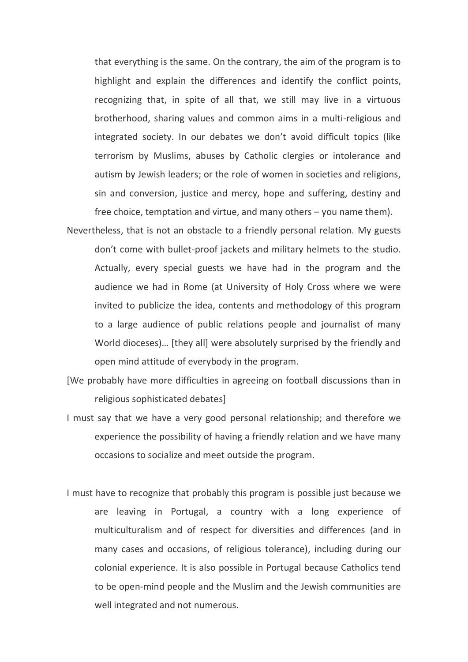that everything is the same. On the contrary, the aim of the program is to highlight and explain the differences and identify the conflict points, recognizing that, in spite of all that, we still may live in a virtuous brotherhood, sharing values and common aims in a multi-religious and integrated society. In our debates we don't avoid difficult topics (like terrorism by Muslims, abuses by Catholic clergies or intolerance and autism by Jewish leaders; or the role of women in societies and religions, sin and conversion, justice and mercy, hope and suffering, destiny and free choice, temptation and virtue, and many others – you name them).

- Nevertheless, that is not an obstacle to a friendly personal relation. My guests don't come with bullet-proof jackets and military helmets to the studio. Actually, every special guests we have had in the program and the audience we had in Rome (at University of Holy Cross where we were invited to publicize the idea, contents and methodology of this program to a large audience of public relations people and journalist of many World dioceses)… [they all] were absolutely surprised by the friendly and open mind attitude of everybody in the program.
- [We probably have more difficulties in agreeing on football discussions than in religious sophisticated debates]
- I must say that we have a very good personal relationship; and therefore we experience the possibility of having a friendly relation and we have many occasions to socialize and meet outside the program.
- I must have to recognize that probably this program is possible just because we are leaving in Portugal, a country with a long experience of multiculturalism and of respect for diversities and differences (and in many cases and occasions, of religious tolerance), including during our colonial experience. It is also possible in Portugal because Catholics tend to be open-mind people and the Muslim and the Jewish communities are well integrated and not numerous.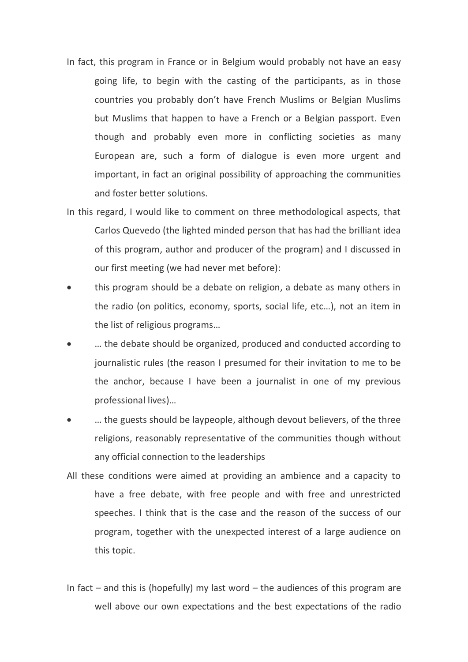- In fact, this program in France or in Belgium would probably not have an easy going life, to begin with the casting of the participants, as in those countries you probably don't have French Muslims or Belgian Muslims but Muslims that happen to have a French or a Belgian passport. Even though and probably even more in conflicting societies as many European are, such a form of dialogue is even more urgent and important, in fact an original possibility of approaching the communities and foster better solutions.
- In this regard, I would like to comment on three methodological aspects, that Carlos Quevedo (the lighted minded person that has had the brilliant idea of this program, author and producer of the program) and I discussed in our first meeting (we had never met before):
- this program should be a debate on religion, a debate as many others in the radio (on politics, economy, sports, social life, etc…), not an item in the list of religious programs…
- … the debate should be organized, produced and conducted according to journalistic rules (the reason I presumed for their invitation to me to be the anchor, because I have been a journalist in one of my previous professional lives)…
- … the guests should be laypeople, although devout believers, of the three religions, reasonably representative of the communities though without any official connection to the leaderships
- All these conditions were aimed at providing an ambience and a capacity to have a free debate, with free people and with free and unrestricted speeches. I think that is the case and the reason of the success of our program, together with the unexpected interest of a large audience on this topic.
- In fact and this is (hopefully) my last word the audiences of this program are well above our own expectations and the best expectations of the radio